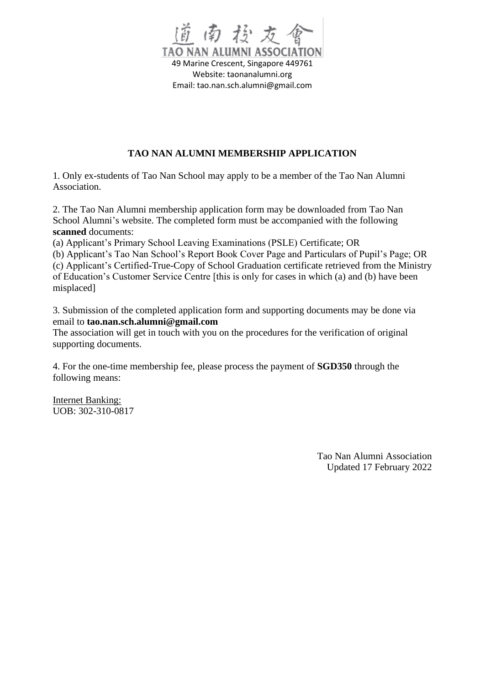

## **TAO NAN ALUMNI MEMBERSHIP APPLICATION**

1. Only ex-students of Tao Nan School may apply to be a member of the Tao Nan Alumni Association.

2. The Tao Nan Alumni membership application form may be downloaded from Tao Nan School Alumni's website. The completed form must be accompanied with the following **scanned** documents:

(a) Applicant's Primary School Leaving Examinations (PSLE) Certificate; OR

(b) Applicant's Tao Nan School's Report Book Cover Page and Particulars of Pupil's Page; OR (c) Applicant's Certified-True-Copy of School Graduation certificate retrieved from the Ministry of Education's Customer Service Centre [this is only for cases in which (a) and (b) have been misplaced]

3. Submission of the completed application form and supporting documents may be done via email to **tao.nan.sch.alumni@gmail.com**

The association will get in touch with you on the procedures for the verification of original supporting documents.

4. For the one-time membership fee, please process the payment of **SGD350** through the following means:

Internet Banking: UOB: 302-310-0817

> Tao Nan Alumni Association Updated 17 February 2022